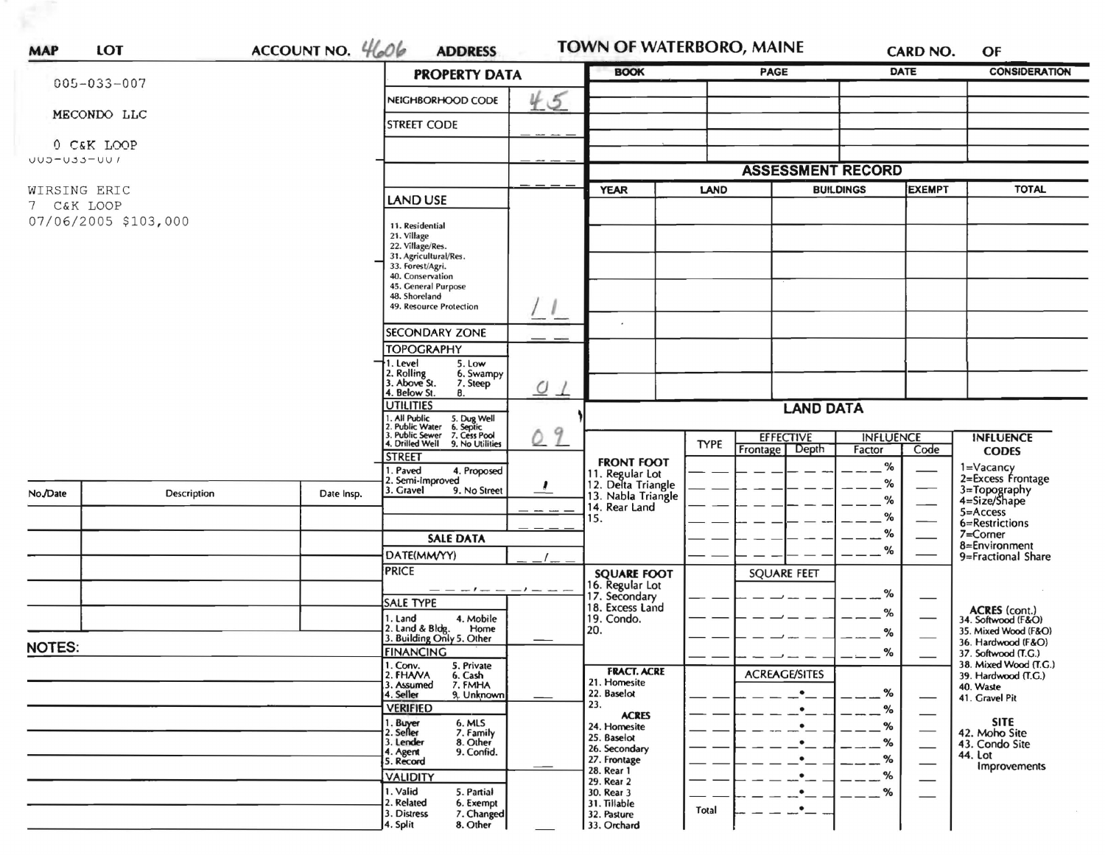|                            |             |                                        | ACCOUNT NO. 4606<br><b>PROPERTY DATA</b>                                                                                                                    | <b>BOOK</b> |                                       | CARD NO.<br>PAGE |                          | <b>DATE</b>      | <b>CONSIDERATION</b> |                                              |
|----------------------------|-------------|----------------------------------------|-------------------------------------------------------------------------------------------------------------------------------------------------------------|-------------|---------------------------------------|------------------|--------------------------|------------------|----------------------|----------------------------------------------|
| $005 - 033 - 007$          |             |                                        | NEIGHBORHOOD CODE                                                                                                                                           |             |                                       |                  |                          |                  |                      |                                              |
|                            | MECONDO LLC |                                        | <b>STREET CODE</b>                                                                                                                                          | 45          |                                       |                  |                          |                  |                      |                                              |
|                            | 0 C&K LOOP  |                                        |                                                                                                                                                             |             |                                       |                  |                          |                  |                      |                                              |
| UUD-USS-UU /               |             |                                        |                                                                                                                                                             |             |                                       |                  |                          |                  |                      |                                              |
|                            |             |                                        |                                                                                                                                                             |             |                                       |                  | <b>ASSESSMENT RECORD</b> |                  |                      |                                              |
| WIRSING ERIC<br>7 C&K LOOP |             |                                        | <b>LAND USE</b>                                                                                                                                             |             | <b>YEAR</b>                           | <b>LAND</b>      | <b>BUILDINGS</b>         |                  | <b>EXEMPT</b>        | <b>TOTAL</b>                                 |
| 07/06/2005 \$103,000       |             |                                        | 11. Residential<br>21. Village<br>22. Village/Res.<br>31. Agricultural/Res.<br>33. Forest/Agri.<br>40. Conservation<br>45. General Purpose<br>48. Shoreland |             |                                       |                  |                          |                  |                      |                                              |
|                            |             |                                        | 49. Resource Protection                                                                                                                                     |             |                                       |                  |                          |                  |                      |                                              |
|                            |             |                                        | <b>SECONDARY ZONE</b><br><b>TOPOGRAPHY</b>                                                                                                                  |             |                                       |                  |                          |                  |                      |                                              |
|                            |             |                                        | 1. Level<br>5. Low<br>2. Rolling<br>3. Above St.<br>6. Swampy<br>7. Steep                                                                                   |             |                                       |                  |                          |                  |                      |                                              |
|                            |             | 4. Below St.<br>8.<br><b>UTILITIES</b> | $\overline{0}$ $\overline{1}$                                                                                                                               |             |                                       |                  |                          |                  |                      |                                              |
|                            |             |                                        | 1. All Public 5. Dug Well<br>2. Public Water 6. Septic<br>3. Public Sewer 7. Cess Pool                                                                      |             | <b>LAND DATA</b>                      |                  |                          |                  |                      |                                              |
|                            |             |                                        | 1. Drilled Well 9. No Utilities                                                                                                                             | 9           |                                       | <b>TYPE</b>      | <b>EFFECTIVE</b>         | <b>INFLUENCE</b> |                      | <b>INFLUENCE</b>                             |
|                            |             |                                        | <b>STREET</b>                                                                                                                                               |             | <b>FRONT FOOT</b>                     |                  | Depth<br>Frontage        | Factor           | Code                 | <b>CODES</b>                                 |
|                            |             |                                        | . Paved<br>4. Proposed<br>2. Semi-Improved                                                                                                                  |             | 11. Regular Lot<br>12. Delta Triangle |                  |                          | $\%$<br>%        |                      | 1=Vacancy<br>2=Excess Frontage               |
| No./Date                   | Description | Date Insp.                             | 3. Gravel<br>9. No Street                                                                                                                                   |             | 13. Nabla Triangle                    |                  |                          | %                |                      | 3=Topography<br>4=Size/Shape                 |
|                            |             |                                        |                                                                                                                                                             |             | 14. Rear Land<br>15.                  |                  |                          | $\%$             |                      | $5 =$ Access                                 |
|                            |             |                                        | <b>SALE DATA</b>                                                                                                                                            |             |                                       |                  |                          | $\%$             |                      | 6=Restrictions<br>$7 =$ Corner               |
|                            |             |                                        | DATE(MM/YY)                                                                                                                                                 |             |                                       |                  |                          | $\%$             |                      | 8=Environment<br>9=Fractional Share          |
|                            |             |                                        | <b>PRICE</b>                                                                                                                                                |             | <b>SQUARE FOOT</b>                    |                  | <b>SQUARE FEET</b>       |                  |                      |                                              |
|                            |             |                                        | — — — ! — — — ! — — —                                                                                                                                       |             | 16. Regular Lot                       |                  |                          |                  |                      |                                              |
|                            |             |                                        | SALE TYPE                                                                                                                                                   |             | 17. Secondary<br>18. Excess Land      |                  |                          | %                |                      |                                              |
|                            |             |                                        | 1. Land<br>4. Mobile                                                                                                                                        |             | 19. Condo.                            |                  |                          | %                |                      | ACRES (cont.)<br>34. Softwood (F&O)          |
|                            |             |                                        | 2. Land & Bldg. Home<br>3. Building Only 5. Other<br>Home                                                                                                   |             | 20.                                   |                  |                          | %                |                      | 35. Mixed Wood (F&O)<br>36. Hardwood (F&O)   |
| <b>NOTES:</b>              |             |                                        | <b>FINANCING</b>                                                                                                                                            |             |                                       |                  |                          | %                |                      | 37. Softwood (T.G.)                          |
|                            |             |                                        | 1. Conv.<br>5. Private<br>2. FHAVA<br>6. Cash                                                                                                               |             | <b>FRACT. ACRE</b>                    |                  | <b>ACREAGE/SITES</b>     |                  |                      | 38. Mixed Wood (T.G.)<br>39. Hardwood (T.G.) |
|                            |             |                                        | 3. Assumed<br>7. FMHA<br>9. Unknown<br>4. Seller                                                                                                            |             | 21. Homesite<br>22. Baselot           |                  | $\bullet$                | %                |                      | 40. Waste                                    |
|                            |             |                                        | <b>VERIFIED</b>                                                                                                                                             |             | 23.                                   |                  | $\bullet$                | $\%$             | —                    | 41. Gravel Pit                               |
|                            |             |                                        | 1. Buyer<br>6. MLS                                                                                                                                          |             | <b>ACRES</b><br>24. Homesite          |                  |                          | %                |                      | <b>SITE</b>                                  |
|                            |             |                                        | 2. Seller<br>7. Family<br>3. Lender<br>8. Other                                                                                                             |             | 25. Baselot<br>26. Secondary          |                  |                          | %                |                      | 42. Moho Site<br>43. Condo Site              |
|                            |             |                                        | 9. Confid.<br>4. Agent<br>5. Record                                                                                                                         |             | 27. Frontage                          |                  |                          | $-$ %            |                      | 44. Lot<br>Improvements                      |
|                            |             |                                        | <b>VALIDITY</b>                                                                                                                                             |             | 28. Rear 1<br>29. Rear 2              |                  |                          | $\%$             |                      |                                              |
|                            |             |                                        | 1. Valid<br>5. Partial                                                                                                                                      |             | 30. Rear 3                            |                  |                          | %                |                      |                                              |
|                            |             |                                        | 2. Related<br>6. Exempt<br>3. Distress<br>7. Changed                                                                                                        |             | 31. Tillable<br>32. Pasture           | Total            | $\bullet$                |                  |                      |                                              |
|                            |             |                                        | 8. Other<br>4. Split                                                                                                                                        |             | 33. Orchard                           |                  |                          |                  |                      |                                              |